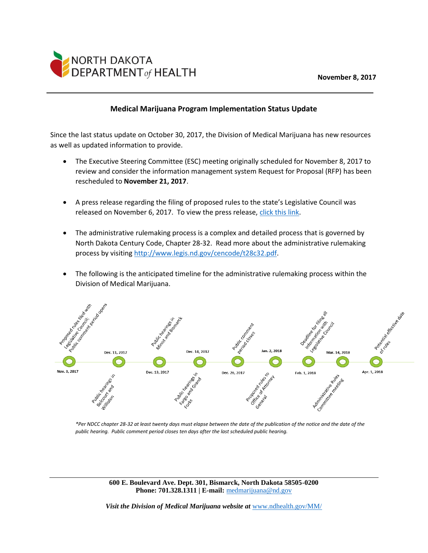## **November 8, 2017**



## **Medical Marijuana Program Implementation Status Update**

Since the last status update on October 30, 2017, the Division of Medical Marijuana has new resources as well as updated information to provide.

- The Executive Steering Committee (ESC) meeting originally scheduled for November 8, 2017 to review and consider the information management system Request for Proposal (RFP) has been rescheduled to **November 21, 2017**.
- A press release regarding the filing of proposed rules to the state's Legislative Council was released on November 6, 2017. To view the press release, [click this link.](https://health.nd.gov/media/1901/2017-11-6-nddoh-files-proposed-rules-for-medical-marijuana-program.pdf)
- The administrative rulemaking process is a complex and detailed process that is governed by North Dakota Century Code, Chapter 28-32. Read more about the administrative rulemaking process by visiting [http://www.legis.nd.gov/cencode/t28c32.pdf.](http://www.legis.nd.gov/cencode/t28c32.pdf)
- The following is the anticipated timeline for the administrative rulemaking process within the Division of Medical Marijuana.



*\*Per NDCC chapter 28-32 at least twenty days must elapse between the date of the publication of the notice and the date of the public hearing. Public comment period closes ten days after the last scheduled public hearing.*

**600 E. Boulevard Ave. Dept. 301, Bismarck, North Dakota 58505-0200 Phone: 701.328.1311 | E-mail:** [medmarijuana@nd.gov](mailto:medmarijuana@nd.gov)

*Visit the Division of Medical Marijuana website at* [www.ndhealth.gov/MM/](http://www.ndhealth.gov/MM/)